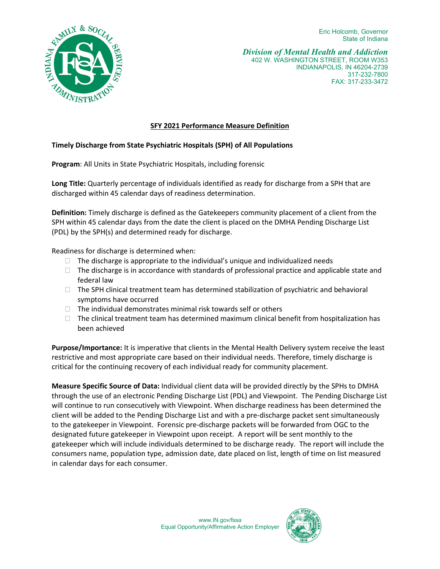Eric Holcomb, Governor State of Indiana



*Division of Mental Health and Addiction*  402 W. WASHINGTON STREET, ROOM W353 INDIANAPOLIS, IN 46204-2739 317-232-7800 FAX: 317-233-3472

## **SFY 2021 Performance Measure Definition**

## **Timely Discharge from State Psychiatric Hospitals (SPH) of All Populations**

**Program**: All Units in State Psychiatric Hospitals, including forensic

**Long Title:** Quarterly percentage of individuals identified as ready for discharge from a SPH that are discharged within 45 calendar days of readiness determination.

**Definition:** Timely discharge is defined as the Gatekeepers community placement of a client from the SPH within 45 calendar days from the date the client is placed on the DMHA Pending Discharge List (PDL) by the SPH(s) and determined ready for discharge.

Readiness for discharge is determined when:

- $\Box$  The discharge is appropriate to the individual's unique and individualized needs
- $\Box$  The discharge is in accordance with standards of professional practice and applicable state and federal law
- $\Box$  The SPH clinical treatment team has determined stabilization of psychiatric and behavioral symptoms have occurred
- $\Box$  The individual demonstrates minimal risk towards self or others
- $\Box$  The clinical treatment team has determined maximum clinical benefit from hospitalization has been achieved

**Purpose/Importance:** It is imperative that clients in the Mental Health Delivery system receive the least restrictive and most appropriate care based on their individual needs. Therefore, timely discharge is critical for the continuing recovery of each individual ready for community placement.

**Measure Specific Source of Data:** Individual client data will be provided directly by the SPHs to DMHA through the use of an electronic Pending Discharge List (PDL) and Viewpoint. The Pending Discharge List will continue to run consecutively with Viewpoint. When discharge readiness has been determined the client will be added to the Pending Discharge List and with a pre-discharge packet sent simultaneously to the gatekeeper in Viewpoint. Forensic pre-discharge packets will be forwarded from OGC to the designated future gatekeeper in Viewpoint upon receipt. A report will be sent monthly to the gatekeeper which will include individuals determined to be discharge ready. The report will include the consumers name, population type, admission date, date placed on list, length of time on list measured in calendar days for each consumer.